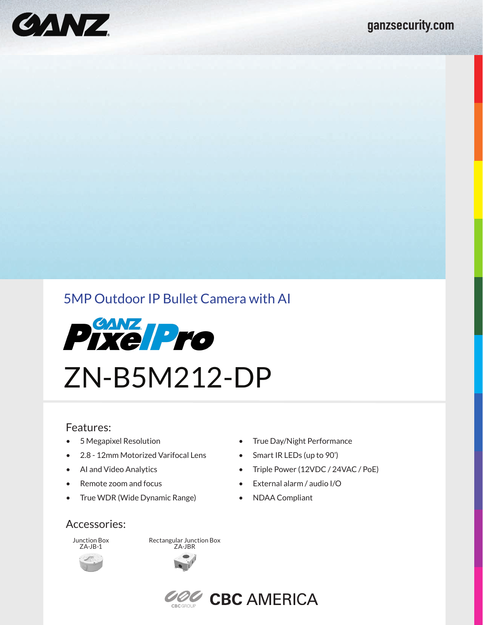

# 5MP Outdoor IP Bullet Camera with AI



# ZN-B5M212-DP

#### Features:

- 5 Megapixel Resolution
- 2.8 12mm Motorized Varifocal Lens
- AI and Video Analytics
- Remote zoom and focus
- True WDR (Wide Dynamic Range)

#### • Triple Power (12VDC / 24VAC / PoE)

• External alarm / audio I/O

• True Day/Night Performance • Smart IR LEDs (up to 90')

• NDAA Compliant

#### Accessories:

Junction Box ZA-JB-1

Rectangular Junction Box